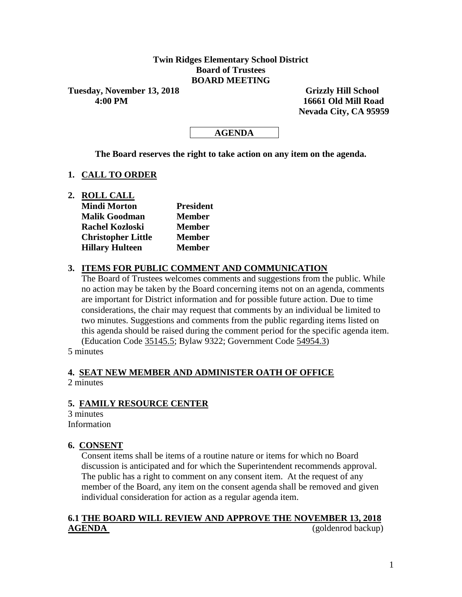## **Twin Ridges Elementary School District Board of Trustees BOARD MEETING**

**Tuesday, November 13, 2018** Grizzly Hill School

 **4:00 PM 16661 Old Mill Road Nevada City, CA 95959**

## **AGENDA**

**The Board reserves the right to take action on any item on the agenda.**

#### **1. CALL TO ORDER**

**2. ROLL CALL**

| <b>Mindi Morton</b>       | <b>President</b> |  |  |  |
|---------------------------|------------------|--|--|--|
| <b>Malik Goodman</b>      | <b>Member</b>    |  |  |  |
| <b>Rachel Kozloski</b>    | <b>Member</b>    |  |  |  |
| <b>Christopher Little</b> | <b>Member</b>    |  |  |  |
| <b>Hillary Hulteen</b>    | <b>Member</b>    |  |  |  |

#### **3. ITEMS FOR PUBLIC COMMENT AND COMMUNICATION**

The Board of Trustees welcomes comments and suggestions from the public. While no action may be taken by the Board concerning items not on an agenda, comments are important for District information and for possible future action. Due to time considerations, the chair may request that comments by an individual be limited to two minutes. Suggestions and comments from the public regarding items listed on this agenda should be raised during the comment period for the specific agenda item. (Education Code 35145.5; Bylaw 9322; Government Code 54954.3)

5 minutes

#### **4. SEAT NEW MEMBER AND ADMINISTER OATH OF OFFICE** 2 minutes

#### **5. FAMILY RESOURCE CENTER**

3 minutes Information

#### **6. CONSENT**

Consent items shall be items of a routine nature or items for which no Board discussion is anticipated and for which the Superintendent recommends approval. The public has a right to comment on any consent item. At the request of any member of the Board, any item on the consent agenda shall be removed and given individual consideration for action as a regular agenda item.

## **6.1 THE BOARD WILL REVIEW AND APPROVE THE NOVEMBER 13, 2018 AGENDA** (goldenrod backup)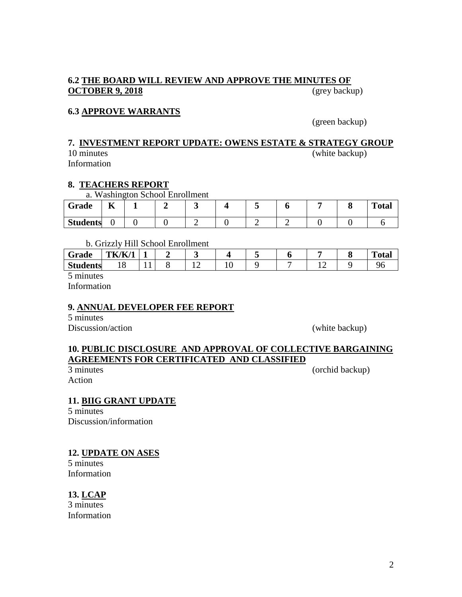## **6.2 THE BOARD WILL REVIEW AND APPROVE THE MINUTES OF OCTOBER 9, 2018** (grey backup)

## **6.3 APPROVE WARRANTS**

(green backup)

#### **7. INVESTMENT REPORT UPDATE: OWENS ESTATE & STRATEGY GROUP** 10 minutes (white backup)

Information

## **8. TEACHERS REPORT**

a. Washington School Enrollment

| Grade           | --<br>л |  |  |  |  | <b>Total</b> |
|-----------------|---------|--|--|--|--|--------------|
| <b>Students</b> |         |  |  |  |  |              |

b. Grizzly Hill School Enrollment

| $\tilde{\phantom{a}}$<br>Grade | TK/K/1 |                          |  |  |   | m<br>`otal |
|--------------------------------|--------|--------------------------|--|--|---|------------|
| <b>Students</b>                | - •    | $\overline{\phantom{a}}$ |  |  | ∸ |            |

5 minutes

Information

## **9. ANNUAL DEVELOPER FEE REPORT**

5 minutes Discussion/action (white backup)

# **10. PUBLIC DISCLOSURE AND APPROVAL OF COLLECTIVE BARGAINING AGREEMENTS FOR CERTIFICATED AND CLASSIFIED**<br>3 minutes

Action

(orchid backup)

## **11. BIIG GRANT UPDATE**

5 minutes Discussion/information

#### **12. UPDATE ON ASES**

5 minutes Information

## **13. LCAP**

3 minutes Information